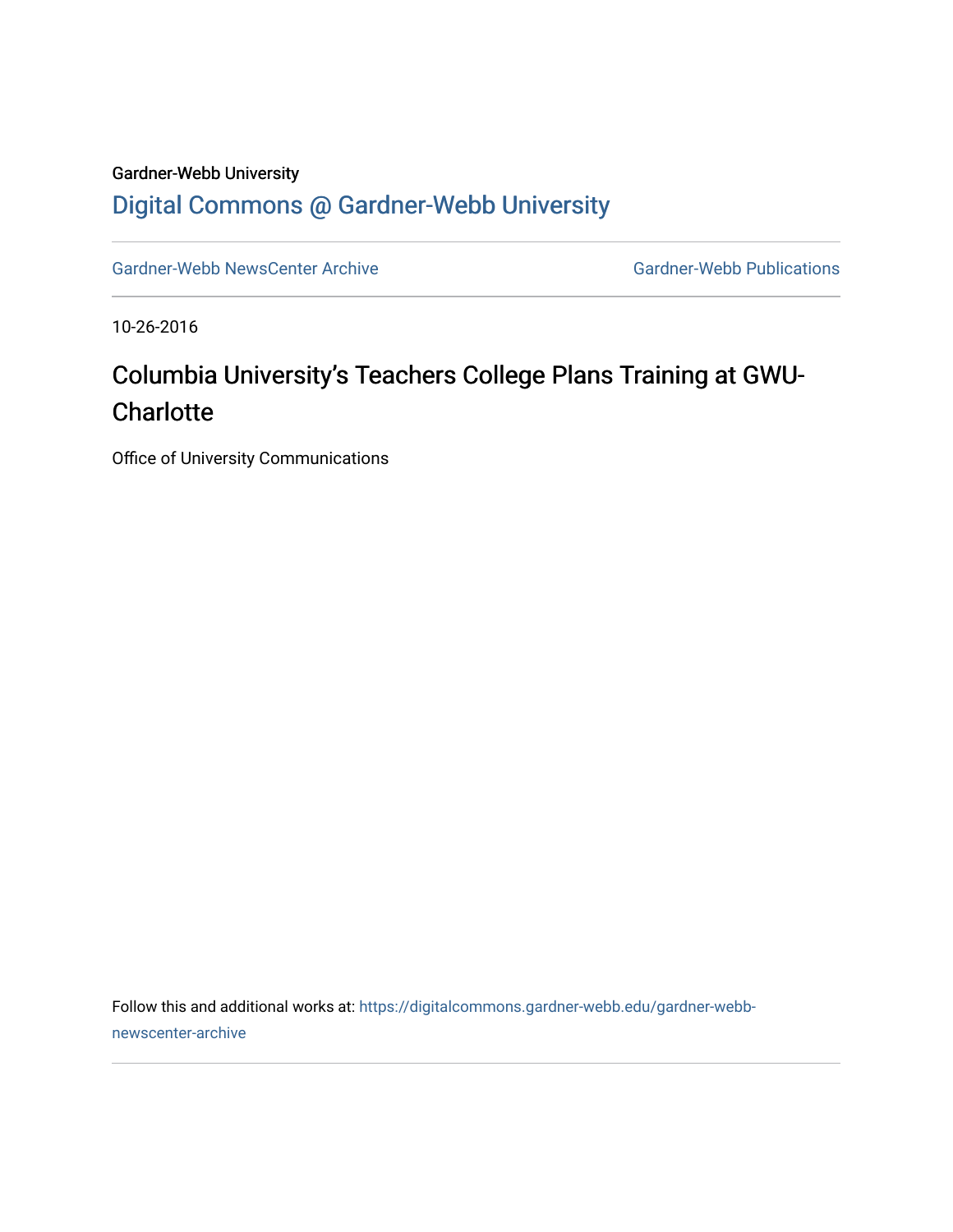## Gardner-Webb University [Digital Commons @ Gardner-Webb University](https://digitalcommons.gardner-webb.edu/)

[Gardner-Webb NewsCenter Archive](https://digitalcommons.gardner-webb.edu/gardner-webb-newscenter-archive) Gardner-Webb Publications

10-26-2016

## Columbia University's Teachers College Plans Training at GWU-**Charlotte**

Office of University Communications

Follow this and additional works at: [https://digitalcommons.gardner-webb.edu/gardner-webb](https://digitalcommons.gardner-webb.edu/gardner-webb-newscenter-archive?utm_source=digitalcommons.gardner-webb.edu%2Fgardner-webb-newscenter-archive%2F763&utm_medium=PDF&utm_campaign=PDFCoverPages)[newscenter-archive](https://digitalcommons.gardner-webb.edu/gardner-webb-newscenter-archive?utm_source=digitalcommons.gardner-webb.edu%2Fgardner-webb-newscenter-archive%2F763&utm_medium=PDF&utm_campaign=PDFCoverPages)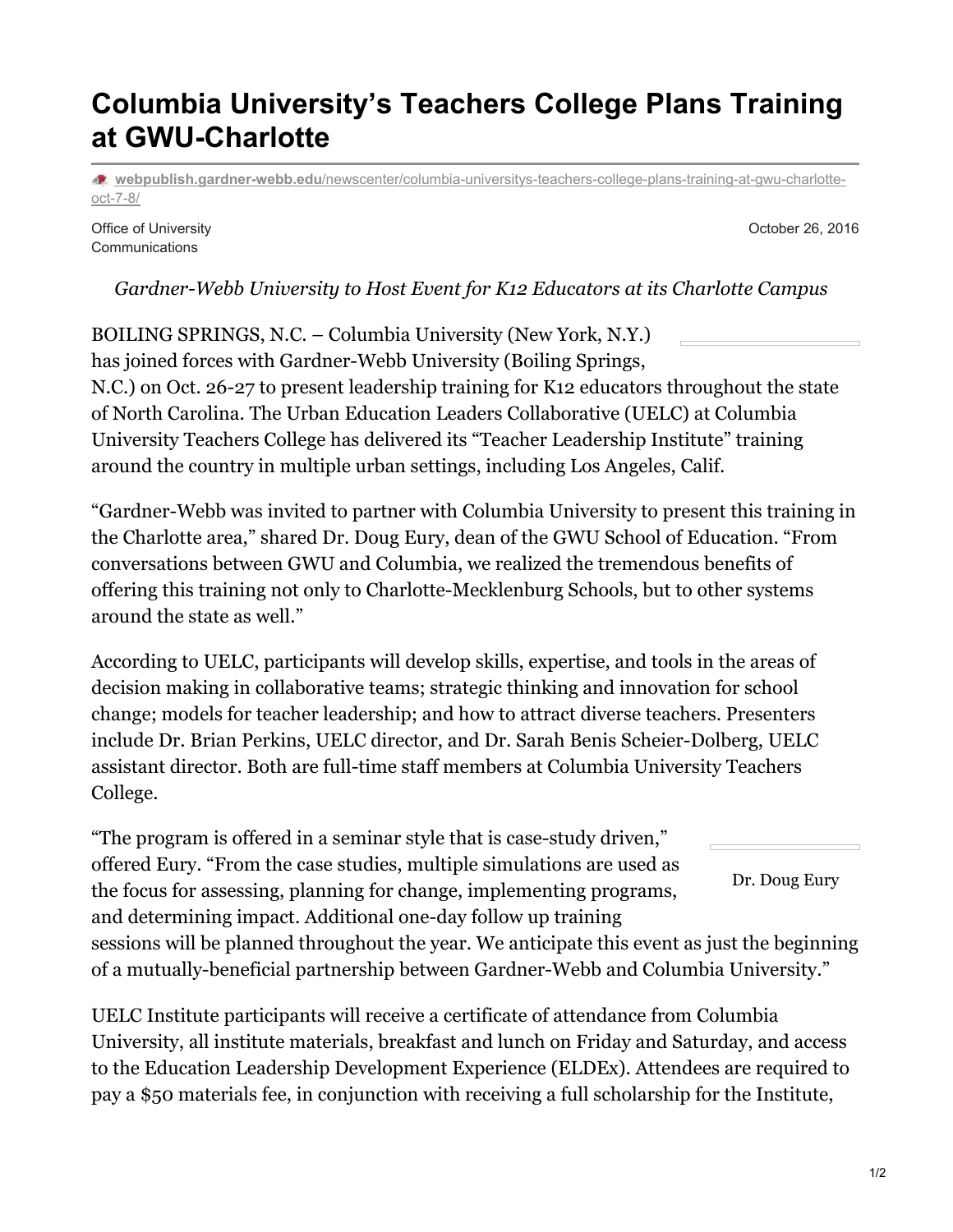## **Columbia University's Teachers College Plans Training at GWU-Charlotte**

**webpublish.gardner-webb.edu**[/newscenter/columbia-universitys-teachers-college-plans-training-at-gwu-charlotte](https://webpublish.gardner-webb.edu/newscenter/columbia-universitys-teachers-college-plans-training-at-gwu-charlotte-oct-7-8/)oct-7-8/

Office of University **Communications** 

October 26, 2016

*Gardner-Webb University to Host Event for K12 Educators at its Charlotte Campus*

BOILING SPRINGS, N.C. – Columbia University (New York, N.Y.) has joined forces with Gardner-Webb University (Boiling Springs, N.C.) on Oct. 26-27 to present leadership training for K12 educators throughout the state of North Carolina. The Urban Education Leaders Collaborative (UELC) at Columbia University Teachers College has delivered its "Teacher Leadership Institute" training around the country in multiple urban settings, including Los Angeles, Calif.

"Gardner-Webb was invited to partner with Columbia University to present this training in the Charlotte area," shared Dr. Doug Eury, dean of the GWU School of Education. "From conversations between GWU and Columbia, we realized the tremendous benefits of offering this training not only to Charlotte-Mecklenburg Schools, but to other systems around the state as well."

According to UELC, participants will develop skills, expertise, and tools in the areas of decision making in collaborative teams; strategic thinking and innovation for school change; models for teacher leadership; and how to attract diverse teachers. Presenters include Dr. Brian Perkins, UELC director, and Dr. Sarah Benis Scheier-Dolberg, UELC assistant director. Both are full-time staff members at Columbia University Teachers College.

Dr. Doug Eury "The program is offered in a seminar style that is case-study driven," offered Eury. "From the case studies, multiple simulations are used as the focus for assessing, planning for change, implementing programs, and determining impact. Additional one-day follow up training sessions will be planned throughout the year. We anticipate this event as just the beginning of a mutually-beneficial partnership between Gardner-Webb and Columbia University."

UELC Institute participants will receive a certificate of attendance from Columbia University, all institute materials, breakfast and lunch on Friday and Saturday, and access to the Education Leadership Development Experience (ELDEx). Attendees are required to pay a \$50 materials fee, in conjunction with receiving a full scholarship for the Institute,